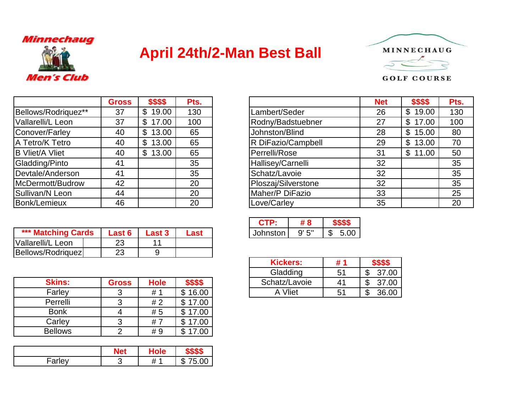## Minnechaug



## **April 24th/2-Man Best Ball**



## **GOLF COURSE**

|                        | <b>Gross</b> | \$\$\$\$    | Pts. |
|------------------------|--------------|-------------|------|
| Bellows/Rodriquez**    | 37           | \$19.00     | 130  |
| Vallarelli/L Leon      | 37           | \$17.00     | 100  |
| Conover/Farley         | 40           | \$13.00     | 65   |
| A Tetro/K Tetro        | 40           | 13.00<br>\$ | 65   |
| <b>B Vliet/A Vliet</b> | 40           | \$13.00     | 65   |
| Gladding/Pinto         | 41           |             | 35   |
| Devtale/Anderson       | 41           |             | 35   |
| McDermott/Budrow       | 42           |             | 20   |
| Sullivan/N Leon        | 44           |             | 20   |
| Bonk/Lemieux           | 46           |             | 20   |

| *** Matching Cards | <b>Last 6</b> | <b>Last 3</b> | Last |
|--------------------|---------------|---------------|------|
| Vallarelli/L Leon  | 23            |               |      |
| Bellows/Rodriquez  | 23            |               |      |

| <b>Skins:</b>  | <b>Gross</b> | <b>Hole</b> | \$\$\$\$ |
|----------------|--------------|-------------|----------|
| Farley         |              | # 1         | \$16.00  |
| Perrelli       | 3            | #2          | \$17.00  |
| <b>Bonk</b>    |              | # 5         | \$17.00  |
| Carley         |              | # 7         | \$17.00  |
| <b>Bellows</b> | o            | # 9         | 17.00    |

|       | <b>Net</b> | lole                  | . .                 |
|-------|------------|-----------------------|---------------------|
| arley |            | $^{\prime}$<br>И<br>" | .00<br>m<br>∽<br>۰D |

|                        | <b>Gross</b> | \$\$\$\$                | Pts. |                     | <b>Net</b> | \$\$\$\$ | Pts. |
|------------------------|--------------|-------------------------|------|---------------------|------------|----------|------|
| Bellows/Rodriquez**    | 37           | \$<br>19.00             | 130  | Lambert/Seder       | 26         | \$19.00  | 130  |
| Vallarelli/L Leon      | 37           | 17.00<br>$\mathbb{S}^-$ | 100  | Rodny/Badstuebner   | 27         | \$17.00  | 100  |
| Conover/Farley         | 40           | \$<br>13.00             | 65   | Johnston/Blind      | 28         | \$15.00  | 80   |
| A Tetro/K Tetro        | 40           | \$13.00                 | 65   | R DiFazio/Campbell  | 29         | \$13.00  |      |
| <b>B Vliet/A Vliet</b> | 40           | \$13.00                 | 65   | Perrelli/Rose       | 31         | \$11.00  |      |
| Gladding/Pinto         | 41           |                         | 35   | Hallisey/Carnelli   | 32         |          |      |
| Devtale/Anderson       | 41           |                         | 35   | Schatz/Lavoie       | 32         |          | 35   |
| McDermott/Budrow       | 42           |                         | 20   | Ploszaj/Silverstone | 32         |          | 35   |
| Sullivan/N Leon        | 44           |                         | 20   | Maher/P DiFazio     | 33         |          | 25   |
| Bonk/Lemieux           | 46           |                         | 20   | Love/Carley         | 35         |          | 20   |

|        |                                        |      | гто.            |      |
|--------|----------------------------------------|------|-----------------|------|
| Last 6 | $\blacksquare$ Last 3 $\blacksquare$ . | Last | Johnston   9'5" | 5.00 |

|              |             |            | <b>Kickers:</b> | # 1            | <b>ው ው ው</b> |
|--------------|-------------|------------|-----------------|----------------|--------------|
|              |             |            | Gladding        | 5 <sup>′</sup> | 37.00        |
| <b>Gross</b> | <b>Hole</b> |            | Schatz/Lavoie   | 41             | 37.00        |
| າ            | #1          | œ<br>16.00 | Vliet<br>А      | 5 <sup>′</sup> | 36.00        |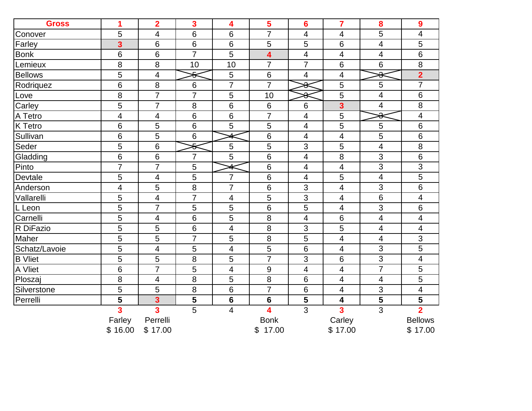| <b>Gross</b>   | 1                                 | $\overline{2}$           | $\overline{\mathbf{3}}$ | 4                       | 5                       | $6\phantom{1}6$         | $\overline{7}$           | 8                       | 9                                         |
|----------------|-----------------------------------|--------------------------|-------------------------|-------------------------|-------------------------|-------------------------|--------------------------|-------------------------|-------------------------------------------|
| Conover        | 5                                 | $\overline{4}$           | 6                       | 6                       | $\overline{7}$          | 4                       | 4                        | 5                       | 4                                         |
| Farley         | $\overline{\mathbf{3}}$           | 6                        | 6                       | $\,6$                   | 5                       | 5                       | $6\phantom{1}6$          | 4                       | 5                                         |
| <b>Bonk</b>    | 6                                 | 6                        | $\overline{7}$          | 5                       | $\overline{\mathbf{4}}$ | $\overline{\mathbf{4}}$ | $\overline{\mathcal{A}}$ | $\overline{\mathbf{4}}$ | 6                                         |
| Lemieux        | 8                                 | 8                        | 10                      | 10                      | $\overline{7}$          | $\overline{7}$          | $6\phantom{1}6$          | 6                       | 8                                         |
| <b>Bellows</b> | 5                                 | 4                        | ÷                       | 5                       | $6\,$                   | 4                       | 4                        | ô                       | $\overline{2}$                            |
| Rodriquez      | 6                                 | 8                        | $6\phantom{1}6$         | $\overline{7}$          | $\overline{7}$          | ୫                       | 5                        | 5                       | $\overline{7}$                            |
| Love           | 8                                 | $\overline{7}$           | $\overline{7}$          | 5                       | 10                      | ♣                       | 5                        | 4                       | 6                                         |
| Carley         | 5                                 | $\overline{7}$           | 8                       | 6                       | 6                       | 6                       | 3                        | 4                       | 8                                         |
| A Tetro        | 4                                 | $\overline{\mathcal{A}}$ | 6                       | 6                       | $\overline{7}$          | $\overline{4}$          | 5                        | ≏<br>ᢦ                  | 4                                         |
| K Tetro        | 6                                 | 5                        | $6\phantom{1}6$         | 5                       | 5                       | $\overline{4}$          | 5                        | 5                       | 6                                         |
| Sullivan       | 6                                 | 5                        | 6                       |                         | 6                       | $\overline{4}$          | 4                        | 5                       | 6                                         |
| Seder          | 5                                 | 6                        | ÷                       | 5                       | 5                       | 3                       | 5                        | 4                       | 8                                         |
| Gladding       | 6                                 | 6                        | $\overline{7}$          | 5                       | 6                       | $\overline{4}$          | 8                        | 3                       | 6                                         |
| Pinto          | $\overline{7}$                    | $\overline{7}$           | 5                       | 4                       | 6                       | $\overline{4}$          | 4                        | 3                       | $\overline{3}$                            |
| Devtale        | 5                                 | 4                        | 5                       | $\overline{7}$          | 6                       | 4                       | 5                        | 4                       | 5                                         |
| Anderson       | 4                                 | 5                        | 8                       | 7                       | 6                       | 3                       | 4                        | 3                       | 6                                         |
| Vallarelli     | 5                                 | $\overline{4}$           | $\overline{7}$          | $\overline{\mathbf{4}}$ | 5                       | $\overline{3}$          | 4                        | 6                       | 4                                         |
| L Leon         | 5                                 | $\overline{7}$           | 5                       | 5                       | 6                       | 5                       | 4                        | 3                       | 6                                         |
| Carnelli       | 5                                 | $\overline{4}$           | $6\phantom{1}6$         | 5                       | 8                       | $\overline{4}$          | $6\phantom{1}6$          | 4                       | 4                                         |
| R DiFazio      | 5                                 | 5                        | 6                       | 4                       | 8                       | 3                       | 5                        | $\overline{\mathbf{4}}$ | 4                                         |
| Maher          | 5                                 | 5                        | $\overline{7}$          | 5                       | 8                       | 5                       | 4                        | $\overline{4}$          | 3                                         |
| Schatz/Lavoie  | 5                                 | $\overline{4}$           | 5                       | 4                       | 5                       | 6                       | 4                        | 3                       | 5                                         |
| <b>B</b> Vliet | 5                                 | 5                        | 8                       | 5                       | $\overline{7}$          | 3                       | $6\phantom{1}6$          | 3                       | 4                                         |
| A Vliet        | 6                                 | $\overline{7}$           | 5                       | 4                       | 9                       | $\overline{4}$          | 4                        | $\overline{7}$          | 5                                         |
| Ploszaj        | 8                                 | $\overline{4}$           | 8                       | 5                       | 8                       | 6                       | 4                        | $\overline{\mathbf{4}}$ | $\overline{5}$                            |
| Silverstone    | 5                                 | 5                        | 8                       | $\,6$                   | $\overline{7}$          | 6                       | 4                        | 3                       | 4                                         |
| Perrelli       | 5                                 | $\overline{\mathbf{3}}$  | 5                       | 6                       | $6\phantom{1}6$         | 5                       | 4                        | 5                       | 5                                         |
|                | $\overline{\mathbf{3}}$<br>Farley | 3<br>Perrelli            | 5                       | 4                       | 4<br><b>Bonk</b>        | $\overline{3}$          | 3<br>Carley              | 3                       | $\overline{\mathbf{2}}$<br><b>Bellows</b> |
|                | \$16.00                           | \$17.00                  |                         |                         | 17.00<br>\$             |                         | \$17.00                  |                         | \$17.00                                   |